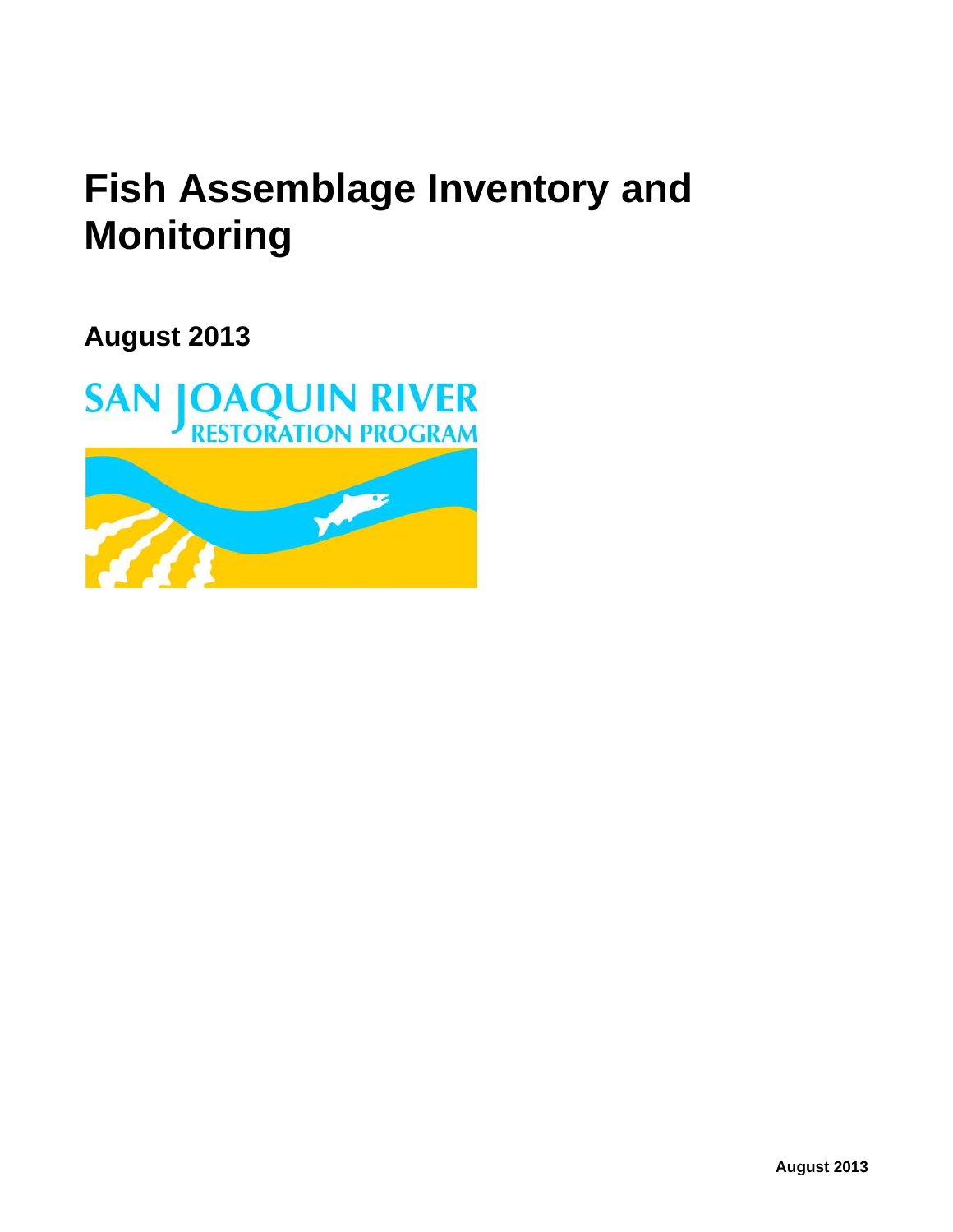# **Fish Assemblage Inventory and Monitoring**

**August 2013**

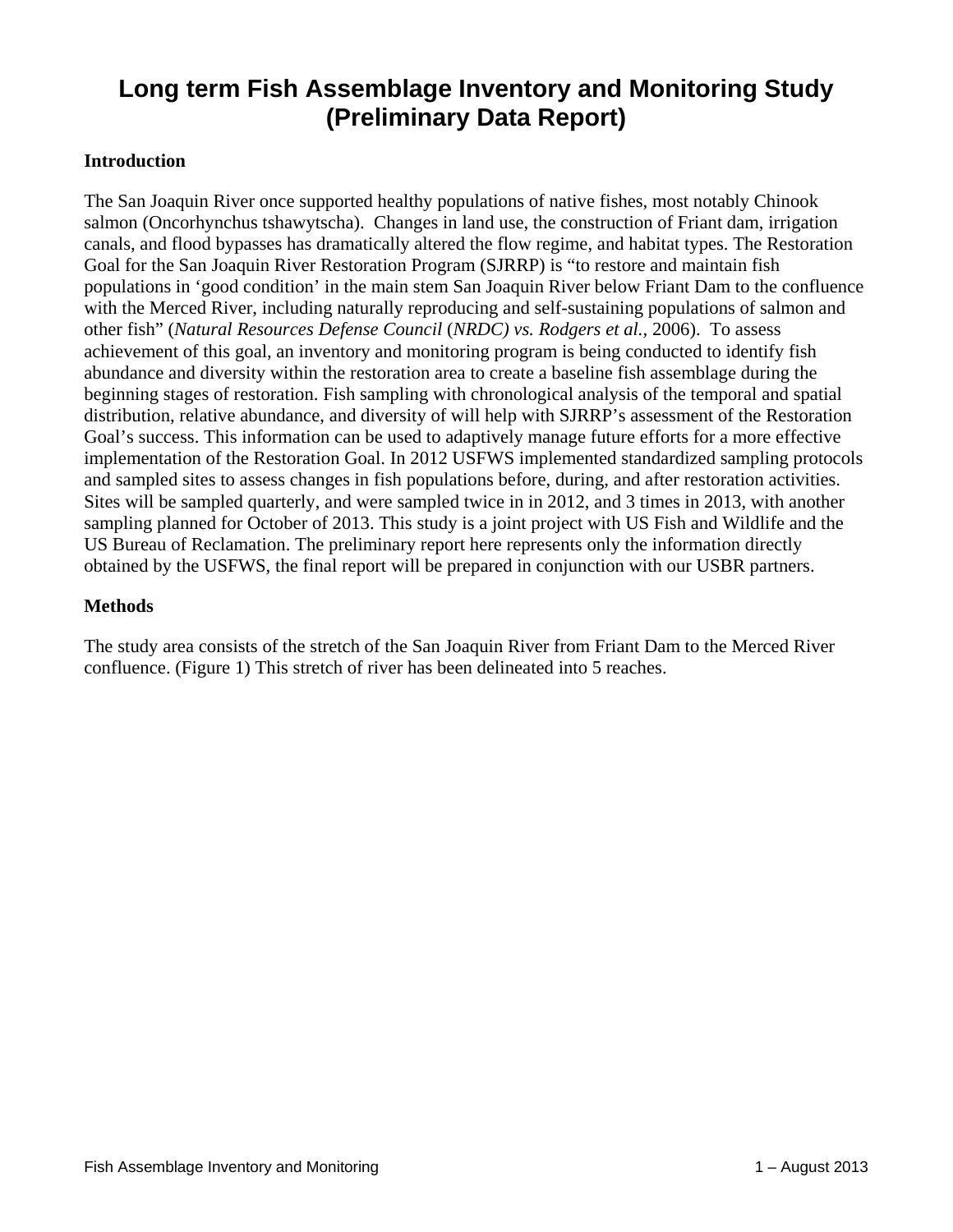# **Long term Fish Assemblage Inventory and Monitoring Study (Preliminary Data Report)**

#### **Introduction**

The San Joaquin River once supported healthy populations of native fishes, most notably Chinook salmon (Oncorhynchus tshawytscha). Changes in land use, the construction of Friant dam, irrigation canals, and flood bypasses has dramatically altered the flow regime, and habitat types. The Restoration Goal for the San Joaquin River Restoration Program (SJRRP) is "to restore and maintain fish populations in 'good condition' in the main stem San Joaquin River below Friant Dam to the confluence with the Merced River, including naturally reproducing and self-sustaining populations of salmon and other fish" (*Natural Resources Defense Council* (*NRDC) vs. Rodgers et al.,* 2006). To assess achievement of this goal, an inventory and monitoring program is being conducted to identify fish abundance and diversity within the restoration area to create a baseline fish assemblage during the beginning stages of restoration. Fish sampling with chronological analysis of the temporal and spatial distribution, relative abundance, and diversity of will help with SJRRP's assessment of the Restoration Goal's success. This information can be used to adaptively manage future efforts for a more effective implementation of the Restoration Goal. In 2012 USFWS implemented standardized sampling protocols and sampled sites to assess changes in fish populations before, during, and after restoration activities. Sites will be sampled quarterly, and were sampled twice in in 2012, and 3 times in 2013, with another sampling planned for October of 2013. This study is a joint project with US Fish and Wildlife and the US Bureau of Reclamation. The preliminary report here represents only the information directly obtained by the USFWS, the final report will be prepared in conjunction with our USBR partners.

#### **Methods**

The study area consists of the stretch of the San Joaquin River from Friant Dam to the Merced River confluence. (Figure 1) This stretch of river has been delineated into 5 reaches.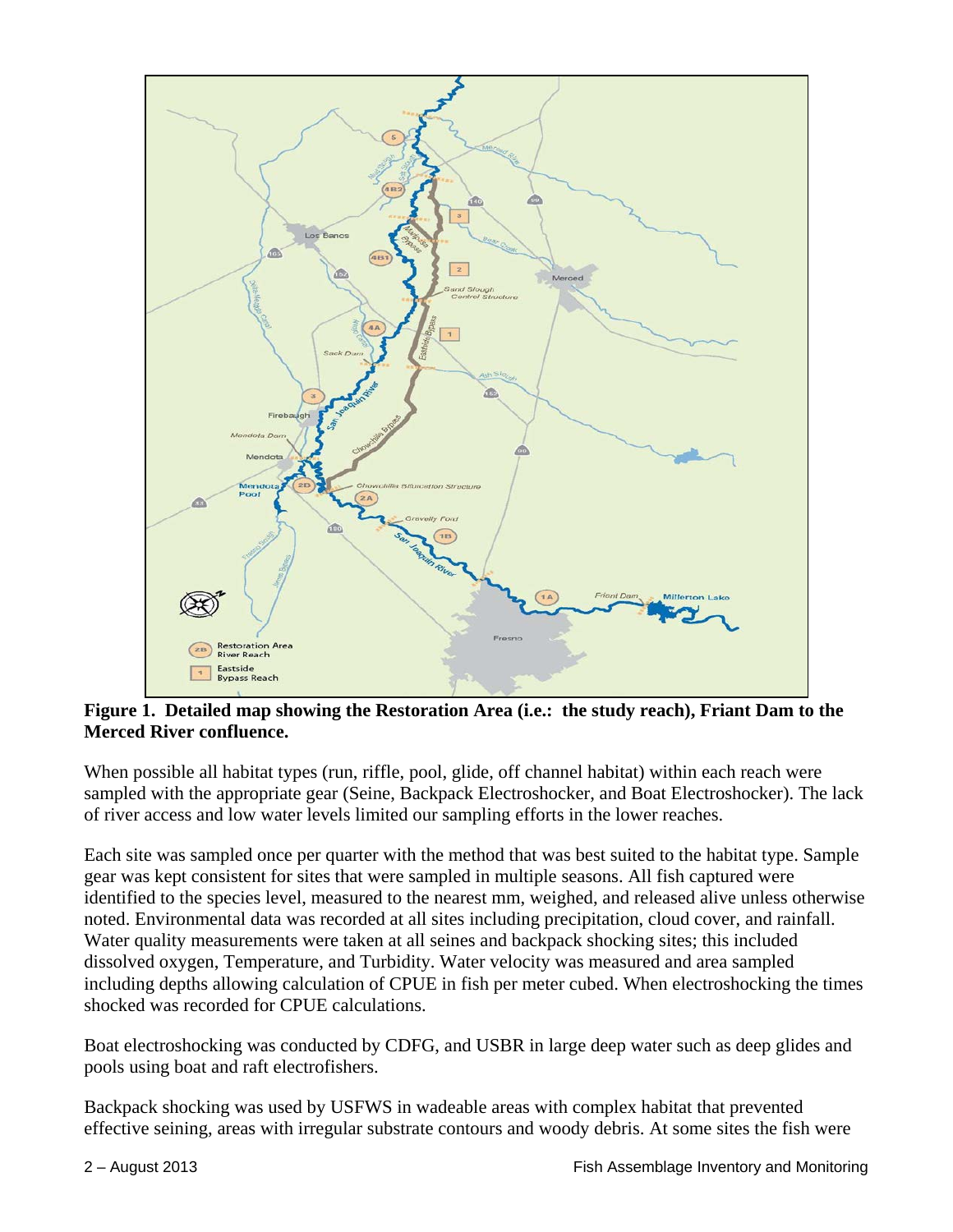

**Figure 1. Detailed map showing the Restoration Area (i.e.: the study reach), Friant Dam to the Merced River confluence.**

When possible all habitat types (run, riffle, pool, glide, off channel habitat) within each reach were sampled with the appropriate gear (Seine, Backpack Electroshocker, and Boat Electroshocker). The lack of river access and low water levels limited our sampling efforts in the lower reaches.

Each site was sampled once per quarter with the method that was best suited to the habitat type. Sample gear was kept consistent for sites that were sampled in multiple seasons. All fish captured were identified to the species level, measured to the nearest mm, weighed, and released alive unless otherwise noted. Environmental data was recorded at all sites including precipitation, cloud cover, and rainfall. Water quality measurements were taken at all seines and backpack shocking sites; this included dissolved oxygen, Temperature, and Turbidity. Water velocity was measured and area sampled including depths allowing calculation of CPUE in fish per meter cubed. When electroshocking the times shocked was recorded for CPUE calculations.

Boat electroshocking was conducted by CDFG, and USBR in large deep water such as deep glides and pools using boat and raft electrofishers.

Backpack shocking was used by USFWS in wadeable areas with complex habitat that prevented effective seining, areas with irregular substrate contours and woody debris. At some sites the fish were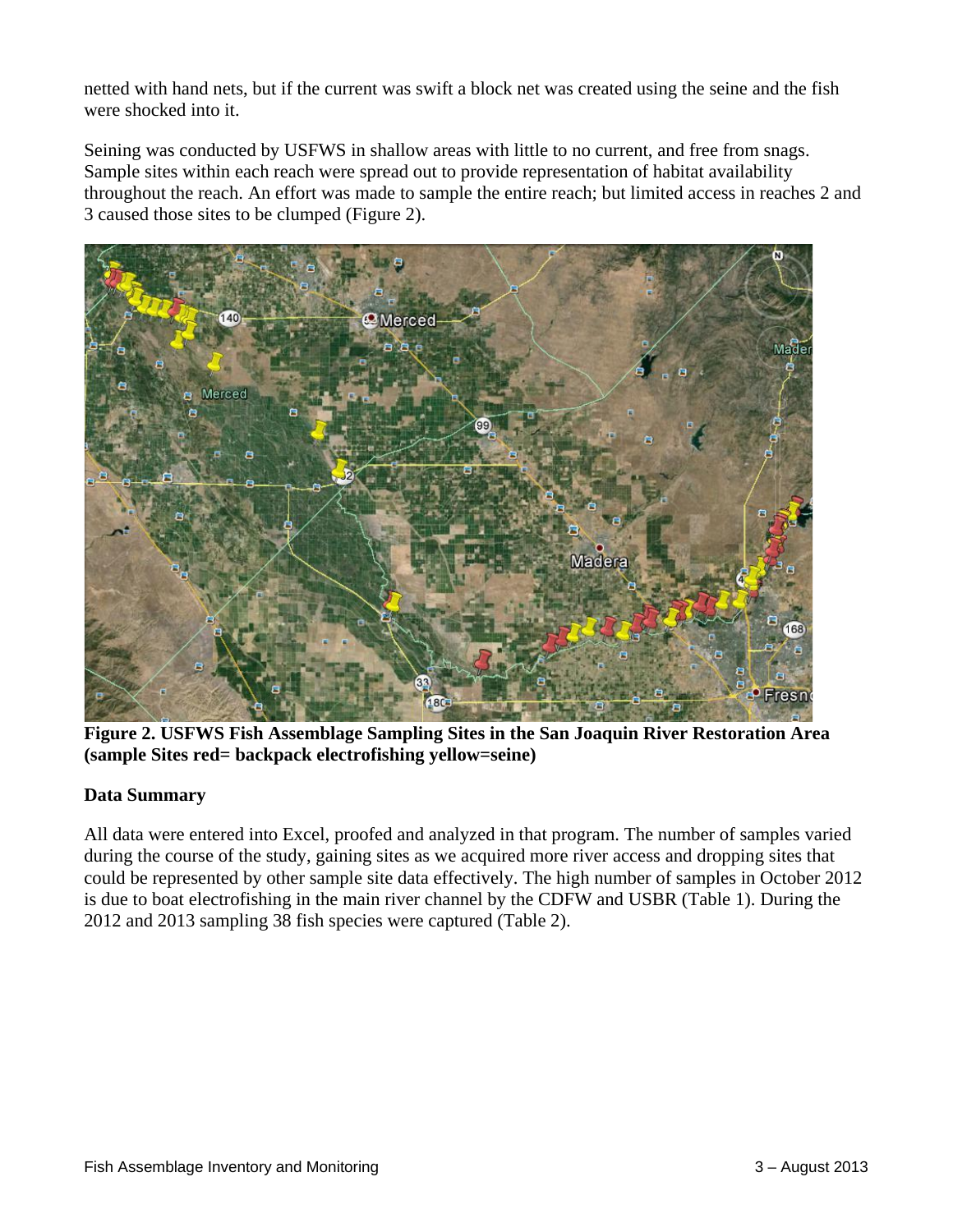netted with hand nets, but if the current was swift a block net was created using the seine and the fish were shocked into it.

Seining was conducted by USFWS in shallow areas with little to no current, and free from snags. Sample sites within each reach were spread out to provide representation of habitat availability throughout the reach. An effort was made to sample the entire reach; but limited access in reaches 2 and 3 caused those sites to be clumped (Figure 2).



**Figure 2. USFWS Fish Assemblage Sampling Sites in the San Joaquin River Restoration Area (sample Sites red= backpack electrofishing yellow=seine)**

# **Data Summary**

All data were entered into Excel, proofed and analyzed in that program. The number of samples varied during the course of the study, gaining sites as we acquired more river access and dropping sites that could be represented by other sample site data effectively. The high number of samples in October 2012 is due to boat electrofishing in the main river channel by the CDFW and USBR (Table 1). During the 2012 and 2013 sampling 38 fish species were captured (Table 2).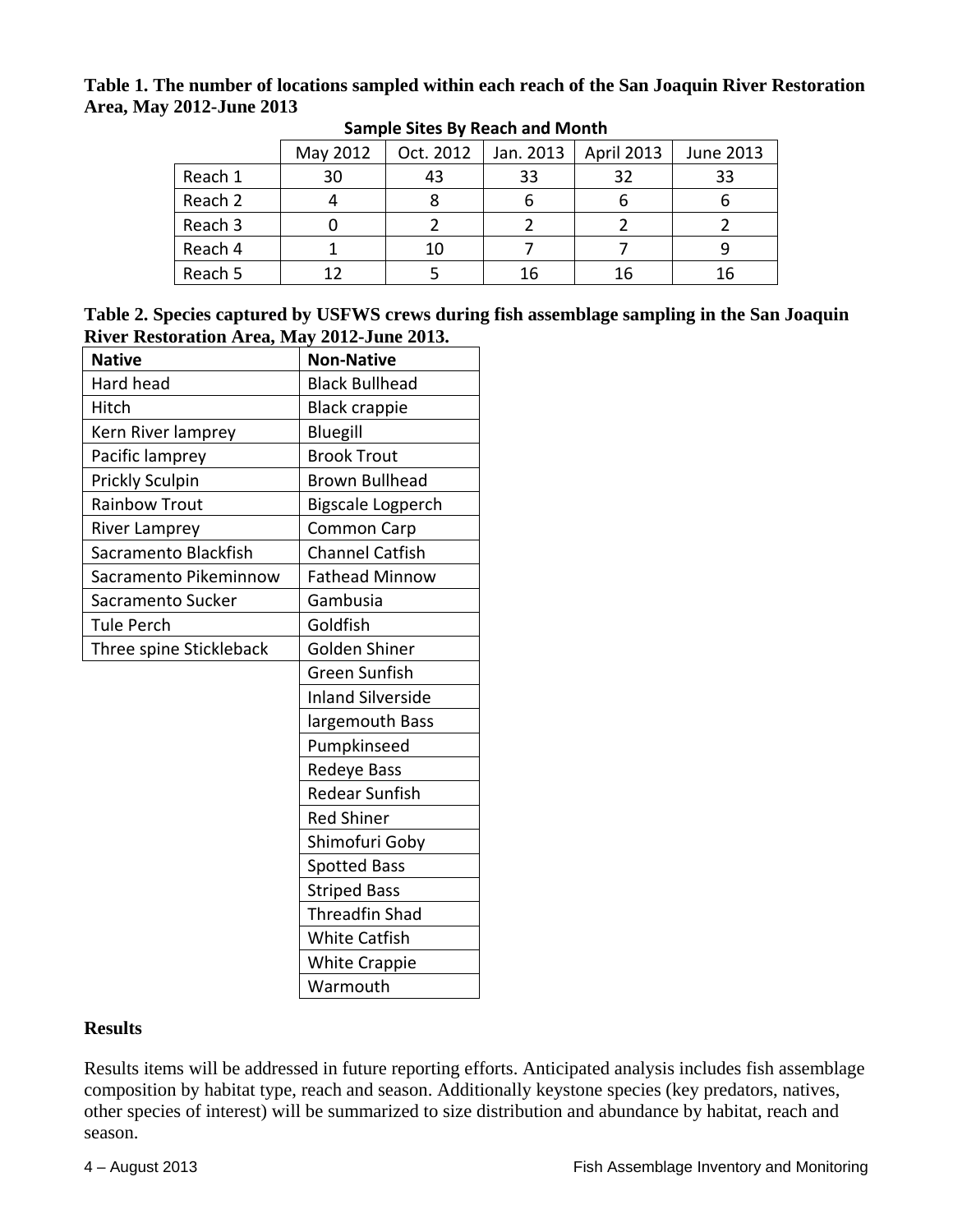## **Table 1. The number of locations sampled within each reach of the San Joaquin River Restoration Area, May 2012-June 2013**

|         | May 2012 | Oct. 2012 | Jan. 2013 | <b>April 2013</b> | June 2013 |
|---------|----------|-----------|-----------|-------------------|-----------|
| Reach 1 | 30       | 43        | 33        | 32                | 33        |
| Reach 2 |          |           |           |                   |           |
| Reach 3 |          |           |           |                   |           |
| Reach 4 |          | 10        |           |                   |           |
| Reach 5 | 12       |           | 16        | 16                | 16        |

#### **Sample Sites By Reach and Month**

| Table 2. Species captured by USFWS crews during fish assemblage sampling in the San Joaquin |  |
|---------------------------------------------------------------------------------------------|--|
| River Restoration Area, May 2012-June 2013.                                                 |  |

| <b>Native</b>           | <b>Non-Native</b>        |  |  |
|-------------------------|--------------------------|--|--|
| Hard head               | <b>Black Bullhead</b>    |  |  |
| Hitch                   | <b>Black crappie</b>     |  |  |
| Kern River lamprey      | Bluegill                 |  |  |
| Pacific lamprey         | <b>Brook Trout</b>       |  |  |
| Prickly Sculpin         | <b>Brown Bullhead</b>    |  |  |
| <b>Rainbow Trout</b>    | <b>Bigscale Logperch</b> |  |  |
| River Lamprey           | <b>Common Carp</b>       |  |  |
| Sacramento Blackfish    | <b>Channel Catfish</b>   |  |  |
| Sacramento Pikeminnow   | <b>Fathead Minnow</b>    |  |  |
| Sacramento Sucker       | Gambusia                 |  |  |
| <b>Tule Perch</b>       | Goldfish                 |  |  |
| Three spine Stickleback | Golden Shiner            |  |  |
|                         | Green Sunfish            |  |  |
|                         | <b>Inland Silverside</b> |  |  |
|                         | largemouth Bass          |  |  |
|                         | Pumpkinseed              |  |  |
|                         | Redeye Bass              |  |  |
|                         | <b>Redear Sunfish</b>    |  |  |
|                         | <b>Red Shiner</b>        |  |  |
|                         | Shimofuri Goby           |  |  |
|                         | <b>Spotted Bass</b>      |  |  |
|                         | <b>Striped Bass</b>      |  |  |
|                         | <b>Threadfin Shad</b>    |  |  |
|                         | <b>White Catfish</b>     |  |  |
|                         | <b>White Crappie</b>     |  |  |
|                         | Warmouth                 |  |  |

## **Results**

Results items will be addressed in future reporting efforts. Anticipated analysis includes fish assemblage composition by habitat type, reach and season. Additionally keystone species (key predators, natives, other species of interest) will be summarized to size distribution and abundance by habitat, reach and season.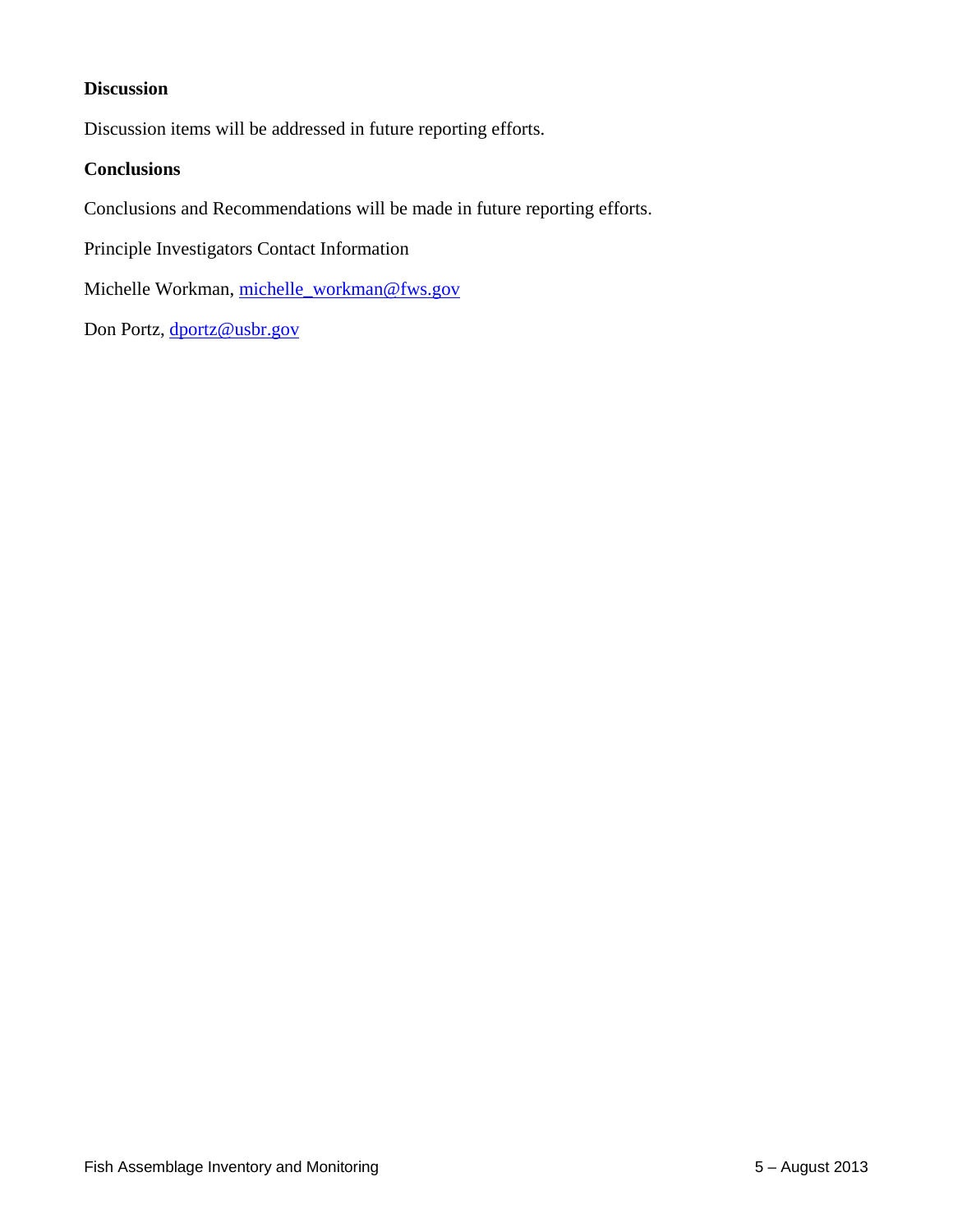# **Discussion**

Discussion items will be addressed in future reporting efforts.

#### **Conclusions**

Conclusions and Recommendations will be made in future reporting efforts.

Principle Investigators Contact Information

Michelle Workman, [michelle\\_workman@fws.gov](mailto:michelle_workman@fws.gov)

Don Portz, [dportz@usbr.gov](mailto:dportz@usbr.gov)